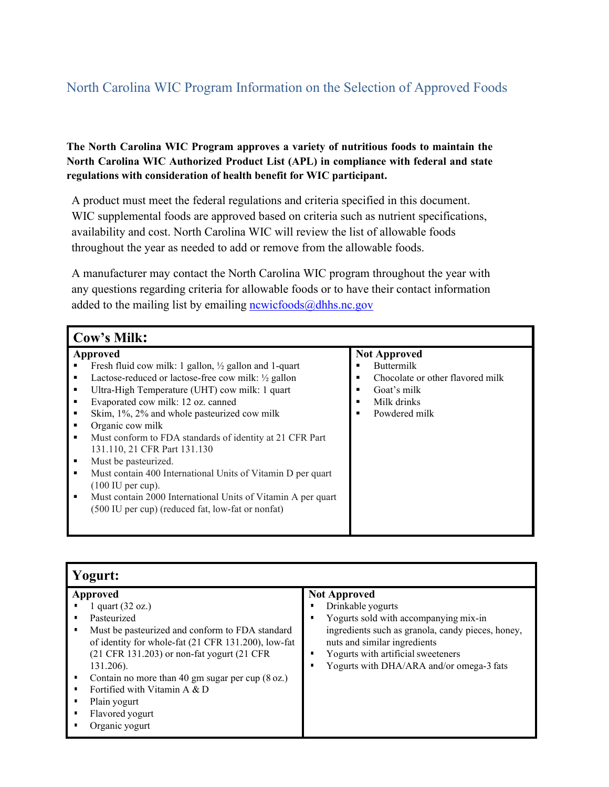## North Carolina WIC Program Information on the Selection of Approved Foods

## **The North Carolina WIC Program approves a variety of nutritious foods to maintain the North Carolina WIC Authorized Product List (APL) in compliance with federal and state regulations with consideration of health benefit for WIC participant.**

A product must meet the federal regulations and criteria specified in this document. WIC supplemental foods are approved based on criteria such as nutrient specifications, availability and cost. North Carolina WIC will review the list of allowable foods throughout the year as needed to add or remove from the allowable foods.

A manufacturer may contact the North Carolina WIC program throughout the year with any questions regarding criteria for allowable foods or to have their contact information added to the mailing list by emailing  $\frac{newicfoods(\omega)dhhs.nc.gov}{newicfoods(\omega)dhhs.nc.gov}$ 

| Cow's Milk:     |                                                                  |   |                                  |  |
|-----------------|------------------------------------------------------------------|---|----------------------------------|--|
| <b>Approved</b> |                                                                  |   | <b>Not Approved</b>              |  |
|                 | Fresh fluid cow milk: 1 gallon, $\frac{1}{2}$ gallon and 1-quart | ▪ | <b>Buttermilk</b>                |  |
| ٠               | Lactose-reduced or lactose-free cow milk: $\frac{1}{2}$ gallon   | ▪ | Chocolate or other flavored milk |  |
| ٠               | Ultra-High Temperature (UHT) cow milk: 1 quart                   | ▪ | Goat's milk                      |  |
| ٠               | Evaporated cow milk: 12 oz. canned                               |   | Milk drinks                      |  |
| ٠               | Skim, 1%, 2% and whole pasteurized cow milk                      | ▪ | Powdered milk                    |  |
| ٠               | Organic cow milk                                                 |   |                                  |  |
| $\blacksquare$  | Must conform to FDA standards of identity at 21 CFR Part         |   |                                  |  |
|                 | 131.110, 21 CFR Part 131.130                                     |   |                                  |  |
| ٠               | Must be pasteurized.                                             |   |                                  |  |
| $\blacksquare$  | Must contain 400 International Units of Vitamin D per quart      |   |                                  |  |
|                 | $(100 \text{ IU per cup}).$                                      |   |                                  |  |
| ٠               | Must contain 2000 International Units of Vitamin A per quart     |   |                                  |  |
|                 | (500 IU per cup) (reduced fat, low-fat or nonfat)                |   |                                  |  |
|                 |                                                                  |   |                                  |  |
|                 |                                                                  |   |                                  |  |

| Yogurt:                                                                                                                                                                                                                                                                                                                                                                                     |                                                                                                                                                                                                                                                          |  |  |
|---------------------------------------------------------------------------------------------------------------------------------------------------------------------------------------------------------------------------------------------------------------------------------------------------------------------------------------------------------------------------------------------|----------------------------------------------------------------------------------------------------------------------------------------------------------------------------------------------------------------------------------------------------------|--|--|
| <b>Approved</b><br>1 quart $(32 oz.)$<br>Pasteurized<br>Must be pasteurized and conform to FDA standard<br>٠<br>of identity for whole-fat (21 CFR 131.200), low-fat<br>(21 CFR 131.203) or non-fat yogurt (21 CFR<br>131.206).<br>Contain no more than 40 gm sugar per cup $(8 \text{ oz.})$<br>Fortified with Vitamin A & D<br>٠<br>Plain yogurt<br>Flavored yogurt<br>٠<br>Organic yogurt | <b>Not Approved</b><br>Drinkable yogurts<br>Yogurts sold with accompanying mix-in<br>ingredients such as granola, candy pieces, honey,<br>nuts and similar ingredients<br>Yogurts with artificial sweeteners<br>Yogurts with DHA/ARA and/or omega-3 fats |  |  |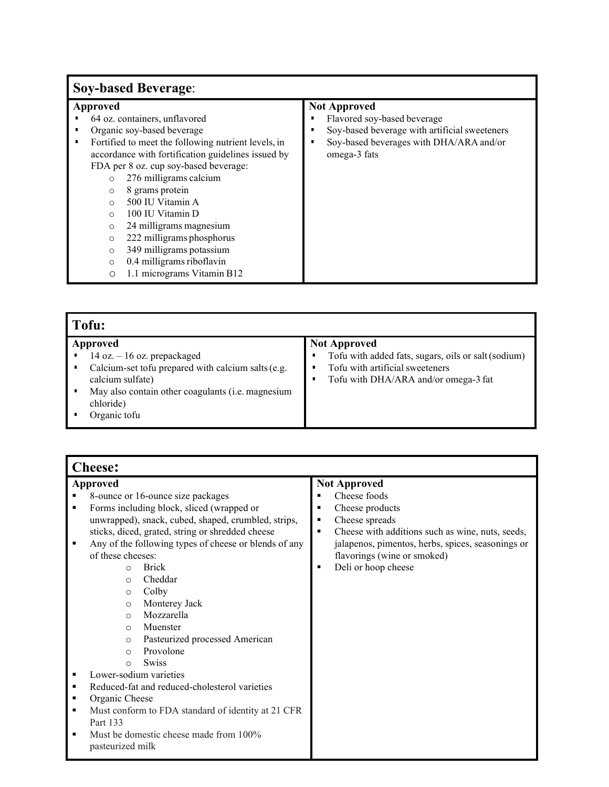## **Soy-based Beverage**:

#### **Approved**

- 64 oz. containers, unflavored<br>■ Organic sov-based beverage
- Organic soy-based beverage<br>■ Fortified to meet the followin
- Fortified to meet the following nutrient levels, in accordance with fortification guidelines issued by FDA per 8 oz. cup soy-based beverage:
	- o 276 milligrams calcium
	- o 8 grams protein
	- 500 IU Vitamin A
	- o 100 IU Vitamin D
	- 24 milligrams magnesium
	- o 222 milligrams phosphorus
	- o 349 milligrams potassium
	- o 0.4 milligrams riboflavin<br>0 1.1 micrograms Vitamin l
	- 1.1 micrograms Vitamin B12

### **Not Approved**

- Flavored soy-based beverage<br>■ Sov-based beverage with artif
- Soy-based beverage with artificial sweeteners<br>■ Soy-based beverages with DHA/ARA and/or
- Soy-based beverages with DHA/ARA and/or omega-3 fats

| Tofu:                                                                                              |                                                                                                               |  |  |
|----------------------------------------------------------------------------------------------------|---------------------------------------------------------------------------------------------------------------|--|--|
| Approved<br>14 oz. $-16$ oz. prepackaged<br>Calcium-set tofu prepared with calcium salts (e.g.     | <b>Not Approved</b><br>Tofu with added fats, sugars, oils or salt (sodium)<br>Tofu with artificial sweeteners |  |  |
| calcium sulfate)<br>May also contain other coagulants (i.e. magnesium<br>chloride)<br>Organic tofu | Tofu with DHA/ARA and/or omega-3 fat                                                                          |  |  |

| <b>Cheese:</b> |                                                       |                                                                    |  |  |
|----------------|-------------------------------------------------------|--------------------------------------------------------------------|--|--|
| Approved       |                                                       | <b>Not Approved</b>                                                |  |  |
|                | 8-ounce or 16-ounce size packages                     | Cheese foods                                                       |  |  |
| $\blacksquare$ | Forms including block, sliced (wrapped or             | Cheese products<br>$\blacksquare$                                  |  |  |
|                | unwrapped), snack, cubed, shaped, crumbled, strips,   | Cheese spreads<br>٠                                                |  |  |
|                | sticks, diced, grated, string or shredded cheese      | Cheese with additions such as wine, nuts, seeds,<br>$\blacksquare$ |  |  |
| $\blacksquare$ | Any of the following types of cheese or blends of any | jalapenos, pimentos, herbs, spices, seasonings or                  |  |  |
|                | of these cheeses:                                     | flavorings (wine or smoked)                                        |  |  |
|                | <b>Brick</b><br>$\Omega$                              | Deli or hoop cheese                                                |  |  |
|                | Cheddar<br>$\Omega$                                   |                                                                    |  |  |
|                | Colby<br>$\circ$                                      |                                                                    |  |  |
|                | Monterey Jack<br>$\circ$                              |                                                                    |  |  |
|                | Mozzarella<br>$\circ$                                 |                                                                    |  |  |
|                | Muenster<br>$\circ$                                   |                                                                    |  |  |
|                | Pasteurized processed American<br>$\Omega$            |                                                                    |  |  |
|                | Provolone<br>$\Omega$                                 |                                                                    |  |  |
|                | <b>Swiss</b><br>$\Omega$                              |                                                                    |  |  |
|                | Lower-sodium varieties                                |                                                                    |  |  |
| ٠              | Reduced-fat and reduced-cholesterol varieties         |                                                                    |  |  |
| ٠              | Organic Cheese                                        |                                                                    |  |  |
| п              | Must conform to FDA standard of identity at 21 CFR    |                                                                    |  |  |
|                | Part 133                                              |                                                                    |  |  |
| $\blacksquare$ | Must be domestic cheese made from 100%                |                                                                    |  |  |
|                | pasteurized milk                                      |                                                                    |  |  |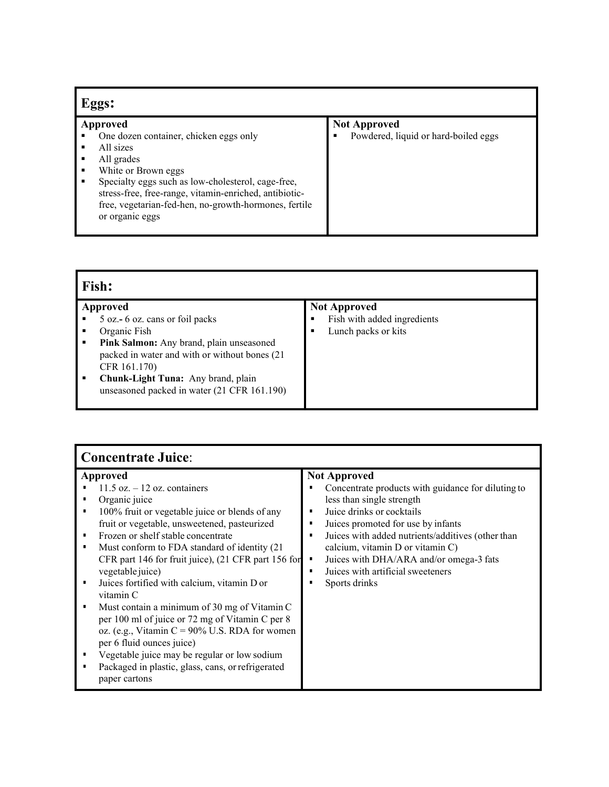| Eggs:                                                                                                                                                                                                                                                                                                                  |                                                             |  |  |
|------------------------------------------------------------------------------------------------------------------------------------------------------------------------------------------------------------------------------------------------------------------------------------------------------------------------|-------------------------------------------------------------|--|--|
| <b>Approved</b><br>One dozen container, chicken eggs only<br>All sizes<br>п<br>All grades<br>White or Brown eggs<br>п<br>Specialty eggs such as low-cholesterol, cage-free,<br>٠<br>stress-free, free-range, vitamin-enriched, antibiotic-<br>free, vegetarian-fed-hen, no-growth-hormones, fertile<br>or organic eggs | <b>Not Approved</b><br>Powdered, liquid or hard-boiled eggs |  |  |

| Fish:       |                                                                                                                                                                                                                                                                 |                                                                                |  |
|-------------|-----------------------------------------------------------------------------------------------------------------------------------------------------------------------------------------------------------------------------------------------------------------|--------------------------------------------------------------------------------|--|
| ٠<br>٠<br>٠ | Approved<br>5 oz. - 6 oz. cans or foil packs<br>Organic Fish<br>Pink Salmon: Any brand, plain unseasoned<br>packed in water and with or without bones (21)<br>CFR 161.170)<br>Chunk-Light Tuna: Any brand, plain<br>unseasoned packed in water (21 CFR 161.190) | <b>Not Approved</b><br>Fish with added ingredients<br>Lunch packs or kits<br>٠ |  |

| <b>Concentrate Juice:</b> |  |
|---------------------------|--|
|---------------------------|--|

| Concentrate Juice.                   |                                                                                                                                                                                                                                                                                                                                                                                                                                                                                                                                                                                                                                                                          |                                                                                                                                                                                                                                                                                                                                                        |  |  |
|--------------------------------------|--------------------------------------------------------------------------------------------------------------------------------------------------------------------------------------------------------------------------------------------------------------------------------------------------------------------------------------------------------------------------------------------------------------------------------------------------------------------------------------------------------------------------------------------------------------------------------------------------------------------------------------------------------------------------|--------------------------------------------------------------------------------------------------------------------------------------------------------------------------------------------------------------------------------------------------------------------------------------------------------------------------------------------------------|--|--|
| Approved                             |                                                                                                                                                                                                                                                                                                                                                                                                                                                                                                                                                                                                                                                                          | <b>Not Approved</b>                                                                                                                                                                                                                                                                                                                                    |  |  |
| ٠<br>٠<br>٠<br>٠<br>٠<br>٠<br>٠<br>٠ | $11.5$ oz. $-12$ oz. containers<br>Organic juice<br>100% fruit or vegetable juice or blends of any<br>fruit or vegetable, unsweetened, pasteurized<br>Frozen or shelf stable concentrate<br>Must conform to FDA standard of identity (21<br>CFR part 146 for fruit juice), (21 CFR part 156 for<br>vegetable juice)<br>Juices fortified with calcium, vitamin D or<br>vitamin C<br>Must contain a minimum of 30 mg of Vitamin C<br>per 100 ml of juice or 72 mg of Vitamin C per 8<br>oz. (e.g., Vitamin C = $90\%$ U.S. RDA for women<br>per 6 fluid ounces juice)<br>Vegetable juice may be regular or low sodium<br>Packaged in plastic, glass, cans, or refrigerated | Concentrate products with guidance for diluting to<br>less than single strength<br>Juice drinks or cocktails<br>Juices promoted for use by infants<br>Juices with added nutrients/additives (other than<br>calcium, vitamin D or vitamin C)<br>Juices with DHA/ARA and/or omega-3 fats<br>л<br>Juices with artificial sweeteners<br>п<br>Sports drinks |  |  |
|                                      | paper cartons                                                                                                                                                                                                                                                                                                                                                                                                                                                                                                                                                                                                                                                            |                                                                                                                                                                                                                                                                                                                                                        |  |  |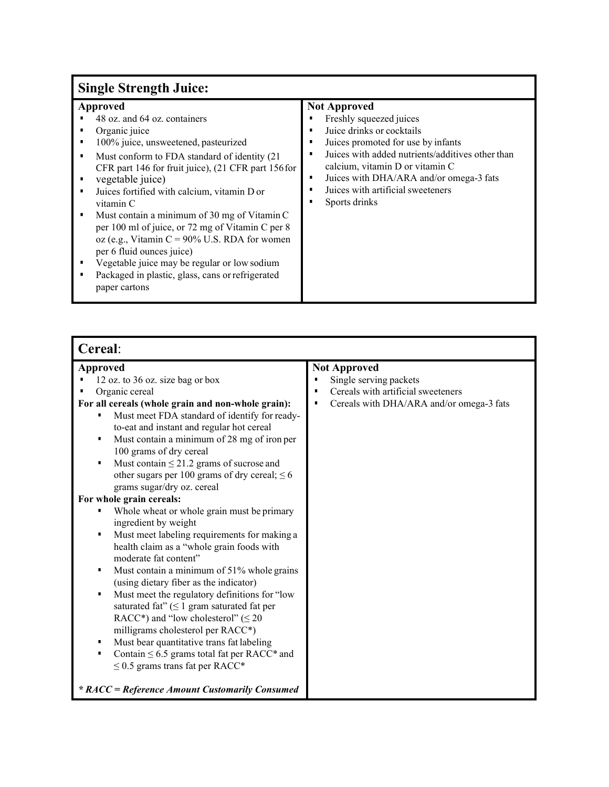# **Single Strength Juice:**

| Cereal:                                                                                                                                                                                                                                                                                                                                                                                                                                                                                                                                                                                                                                                                                                                                                                                                                                                                                                                                                                                                                                                                                                                           |                                                                                                                                                   |  |
|-----------------------------------------------------------------------------------------------------------------------------------------------------------------------------------------------------------------------------------------------------------------------------------------------------------------------------------------------------------------------------------------------------------------------------------------------------------------------------------------------------------------------------------------------------------------------------------------------------------------------------------------------------------------------------------------------------------------------------------------------------------------------------------------------------------------------------------------------------------------------------------------------------------------------------------------------------------------------------------------------------------------------------------------------------------------------------------------------------------------------------------|---------------------------------------------------------------------------------------------------------------------------------------------------|--|
| Approved<br>12 oz. to 36 oz. size bag or box<br>Organic cereal<br>For all cereals (whole grain and non-whole grain):<br>Must meet FDA standard of identify for ready-<br>П<br>to-eat and instant and regular hot cereal<br>Must contain a minimum of 28 mg of iron per<br>П<br>100 grams of dry cereal<br>Must contain $\leq$ 21.2 grams of sucrose and<br>П<br>other sugars per 100 grams of dry cereal; $\leq 6$<br>grams sugar/dry oz. cereal<br>For whole grain cereals:<br>Whole wheat or whole grain must be primary<br>ingredient by weight<br>Must meet labeling requirements for making a<br>٠<br>health claim as a "whole grain foods with<br>moderate fat content"<br>Must contain a minimum of 51% whole grains<br>П<br>(using dietary fiber as the indicator)<br>Must meet the regulatory definitions for "low<br>٠<br>saturated fat" $( \leq 1 \text{ gram saturated fat per})$<br>RACC*) and "low cholesterol" ( $\leq 20$<br>milligrams cholesterol per RACC*)<br>Must bear quantitative trans fat labeling<br>п<br>Contain $\leq 6.5$ grams total fat per RACC* and<br>П<br>$\leq$ 0.5 grams trans fat per RACC* | <b>Not Approved</b><br>Single serving packets<br>Cereals with artificial sweeteners<br>Cereals with DHA/ARA and/or omega-3 fats<br>$\blacksquare$ |  |
| * RACC = Reference Amount Customarily Consumed                                                                                                                                                                                                                                                                                                                                                                                                                                                                                                                                                                                                                                                                                                                                                                                                                                                                                                                                                                                                                                                                                    |                                                                                                                                                   |  |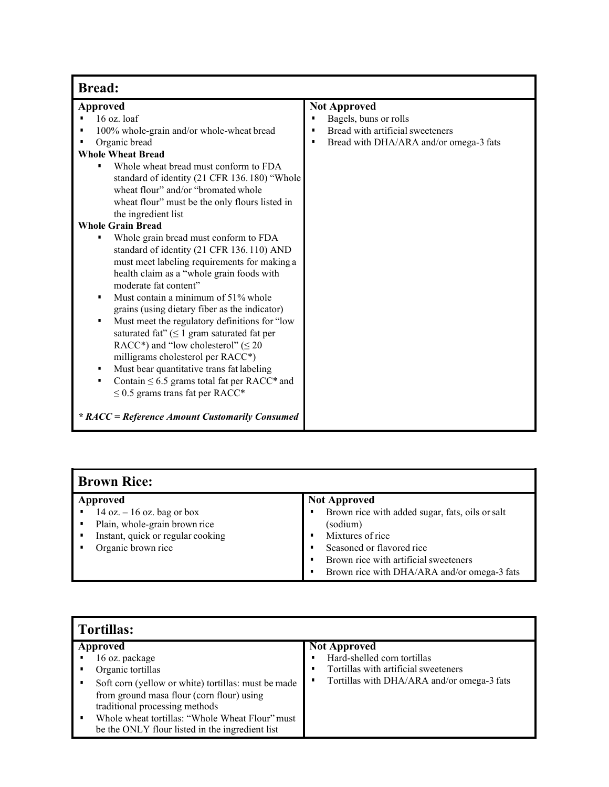| <b>Bread:</b>                                                                                                                                                                                                                                                                                                                                                                                                                                                                                                                                                                                                                                                              |                                                                                       |  |  |  |
|----------------------------------------------------------------------------------------------------------------------------------------------------------------------------------------------------------------------------------------------------------------------------------------------------------------------------------------------------------------------------------------------------------------------------------------------------------------------------------------------------------------------------------------------------------------------------------------------------------------------------------------------------------------------------|---------------------------------------------------------------------------------------|--|--|--|
| <b>Approved</b><br>$16$ oz. loaf<br>100% whole-grain and/or whole-wheat bread                                                                                                                                                                                                                                                                                                                                                                                                                                                                                                                                                                                              | <b>Not Approved</b><br>Bagels, buns or rolls<br>п<br>Bread with artificial sweeteners |  |  |  |
| Organic bread<br><b>Whole Wheat Bread</b><br>Whole wheat bread must conform to FDA<br>standard of identity (21 CFR 136.180) "Whole                                                                                                                                                                                                                                                                                                                                                                                                                                                                                                                                         | Bread with DHA/ARA and/or omega-3 fats<br>٠                                           |  |  |  |
| wheat flour" and/or "bromated whole<br>wheat flour" must be the only flours listed in<br>the ingredient list                                                                                                                                                                                                                                                                                                                                                                                                                                                                                                                                                               |                                                                                       |  |  |  |
| <b>Whole Grain Bread</b><br>Whole grain bread must conform to FDA<br>standard of identity (21 CFR 136.110) AND<br>must meet labeling requirements for making a<br>health claim as a "whole grain foods with<br>moderate fat content"<br>Must contain a minimum of 51% whole<br>grains (using dietary fiber as the indicator)<br>Must meet the regulatory definitions for "low<br>٠<br>saturated fat" $( \leq 1$ gram saturated fat per<br>RACC*) and "low cholesterol" ( $\leq 20$<br>milligrams cholesterol per RACC*)<br>Must bear quantitative trans fat labeling<br>٠<br>Contain $\leq 6.5$ grams total fat per RACC* and<br>٠<br>$\leq$ 0.5 grams trans fat per RACC* |                                                                                       |  |  |  |
| * RACC = Reference Amount Customarily Consumed                                                                                                                                                                                                                                                                                                                                                                                                                                                                                                                                                                                                                             |                                                                                       |  |  |  |

## **Brown Rice:**

| Approved       |                                   | <b>Not Approved</b> |                                                 |
|----------------|-----------------------------------|---------------------|-------------------------------------------------|
|                | $14 oz. - 16 oz.$ bag or box      |                     | Brown rice with added sugar, fats, oils or salt |
| $\blacksquare$ | Plain, whole-grain brown rice     |                     | (sodium)                                        |
| ٠.             | Instant, quick or regular cooking |                     | Mixtures of rice                                |
|                | Organic brown rice                |                     | Seasoned or flavored rice                       |
|                |                                   |                     | Brown rice with artificial sweeteners           |
|                |                                   |                     | Brown rice with DHA/ARA and/or omega-3 fats     |

| <b>Tortillas:</b>                                                                                  |                                            |  |
|----------------------------------------------------------------------------------------------------|--------------------------------------------|--|
| Approved                                                                                           | <b>Not Approved</b>                        |  |
| 16 oz. package                                                                                     | Hard-shelled corn tortillas                |  |
| Organic tortillas                                                                                  | Tortillas with artificial sweeteners       |  |
| Soft corn (yellow or white) tortillas: must be made                                                | Tortillas with DHA/ARA and/or omega-3 fats |  |
| from ground masa flour (corn flour) using                                                          |                                            |  |
| traditional processing methods                                                                     |                                            |  |
| Whole wheat tortillas: "Whole Wheat Flour" must<br>be the ONLY flour listed in the ingredient list |                                            |  |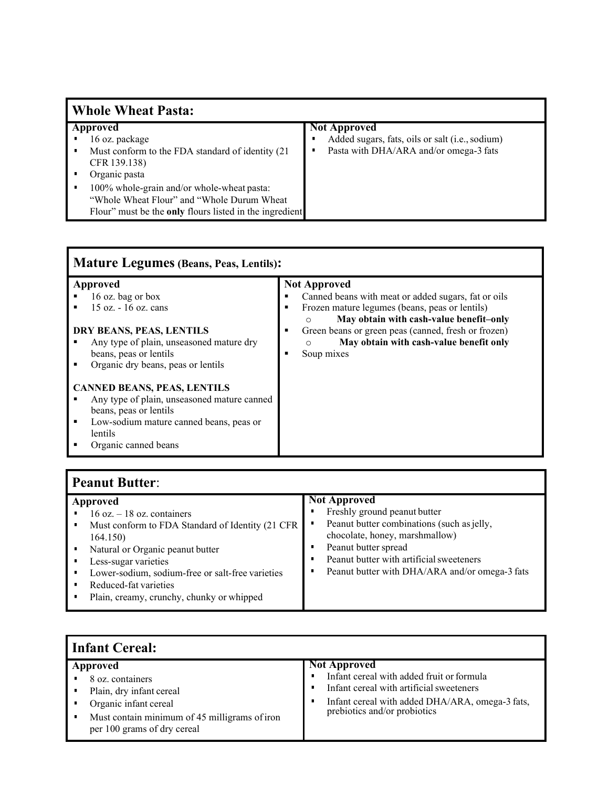| <b>Whole Wheat Pasta:</b>                                                                                                                                                                                                                                                     |                                                                                                                  |  |
|-------------------------------------------------------------------------------------------------------------------------------------------------------------------------------------------------------------------------------------------------------------------------------|------------------------------------------------------------------------------------------------------------------|--|
| Approved<br>16 oz. package<br>Must conform to the FDA standard of identity (21)<br>٠<br>CFR 139.138)<br>Organic pasta<br>100% whole-grain and/or whole-wheat pasta:<br>"Whole Wheat Flour" and "Whole Durum Wheat"<br>Flour" must be the only flours listed in the ingredient | <b>Not Approved</b><br>Added sugars, fats, oils or salt (i.e., sodium)<br>Pasta with DHA/ARA and/or omega-3 fats |  |
|                                                                                                                                                                                                                                                                               |                                                                                                                  |  |

| <b>Mature Legumes (Beans, Peas, Lentils):</b>                                                                                                                                                                   |                                                                                                                                                                                                                                                                                                               |  |
|-----------------------------------------------------------------------------------------------------------------------------------------------------------------------------------------------------------------|---------------------------------------------------------------------------------------------------------------------------------------------------------------------------------------------------------------------------------------------------------------------------------------------------------------|--|
| Approved<br>16 oz. bag or box<br>$15 \text{ oz.} - 16 \text{ oz.}$ cans<br>DRY BEANS, PEAS, LENTILS<br>Any type of plain, unseasoned mature dry<br>beans, peas or lentils<br>Organic dry beans, peas or lentils | <b>Not Approved</b><br>Canned beans with meat or added sugars, fat or oils<br>Frozen mature legumes (beans, peas or lentils)<br>May obtain with cash-value benefit-only<br>$\circ$<br>Green beans or green peas (canned, fresh or frozen)<br>May obtain with cash-value benefit only<br>$\circ$<br>Soup mixes |  |
| <b>CANNED BEANS, PEAS, LENTILS</b><br>Any type of plain, unseasoned mature canned<br>beans, peas or lentils<br>Low-sodium mature canned beans, peas or<br>п<br>lentils<br>Organic canned beans                  |                                                                                                                                                                                                                                                                                                               |  |

## **Peanut Butter**:

| ٠ | Approved<br>$16$ oz. $-18$ oz. containers<br>Must conform to FDA Standard of Identity (21 CFR<br>164.150)<br>Natural or Organic peanut butter<br>Less-sugar varieties<br>Lower-sodium, sodium-free or salt-free varieties<br>Reduced-fat varieties<br>Plain, creamy, crunchy, chunky or whipped | <b>Not Approved</b><br>Freshly ground peanut butter<br>٠<br>Peanut butter combinations (such as jelly,<br>٠<br>chocolate, honey, marshmallow)<br>Peanut butter spread<br>Peanut butter with artificial sweeteners<br>٠<br>Peanut butter with DHA/ARA and/or omega-3 fats<br>٠ |
|---|-------------------------------------------------------------------------------------------------------------------------------------------------------------------------------------------------------------------------------------------------------------------------------------------------|-------------------------------------------------------------------------------------------------------------------------------------------------------------------------------------------------------------------------------------------------------------------------------|
|   |                                                                                                                                                                                                                                                                                                 |                                                                                                                                                                                                                                                                               |

| Infant Cereal:                                                                                                                                                    |                                                                                                                                                                                                 |  |
|-------------------------------------------------------------------------------------------------------------------------------------------------------------------|-------------------------------------------------------------------------------------------------------------------------------------------------------------------------------------------------|--|
| Approved<br>8 oz. containers<br>Plain, dry infant cereal<br>Organic infant cereal<br>Must contain minimum of 45 milligrams of iron<br>per 100 grams of dry cereal | <b>Not Approved</b><br>Infant cereal with added fruit or formula<br>Infant cereal with artificial sweeteners<br>Infant cereal with added DHA/ARA, omega-3 fats,<br>prebiotics and/or probiotics |  |